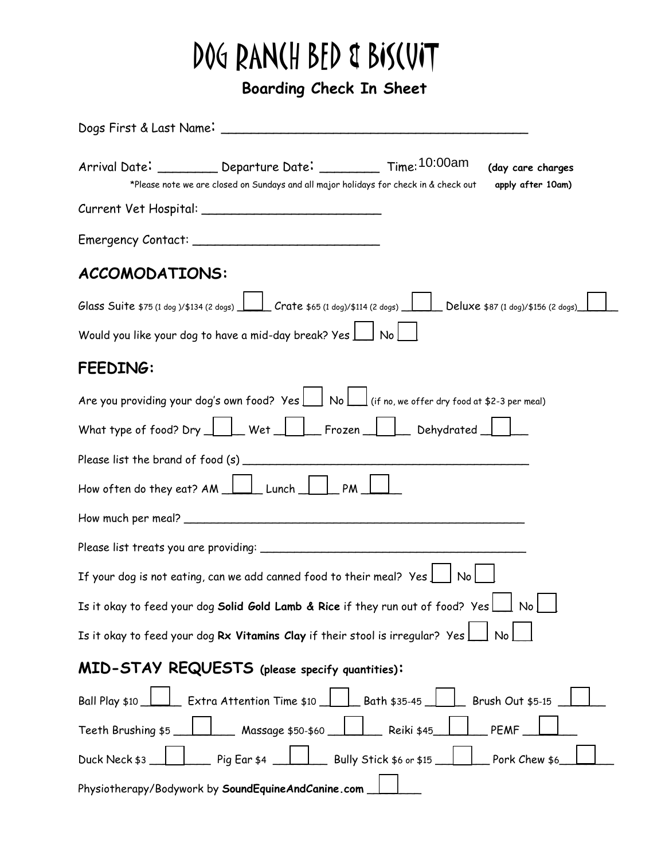## DOG RANCH BED & BISCUIT

 **Boarding Check In Sheet**

|                       | Arrival Date: __________ Departure Date: __________ Time: 10:00am<br>*Please note we are closed on Sundays and all major holidays for check in & check out |                         | (day care charges<br>apply after 10am) |
|-----------------------|------------------------------------------------------------------------------------------------------------------------------------------------------------|-------------------------|----------------------------------------|
|                       |                                                                                                                                                            |                         |                                        |
|                       |                                                                                                                                                            |                         |                                        |
| <b>ACCOMODATIONS:</b> |                                                                                                                                                            |                         |                                        |
|                       | Glass Suite \$75 (1 dog )/\$134 (2 dogs) $\Box$ Crate \$65 (1 dog)/\$114 (2 dogs) $\Box$ Deluxe \$87 (1 dog)/\$156 (2 dogs)                                |                         |                                        |
|                       | Would you like your dog to have a mid-day break? Yes \ \ No \                                                                                              |                         |                                        |
| FEEDING:              |                                                                                                                                                            |                         |                                        |
|                       | Are you providing your dog's own food? Yes $\boxed{\phantom{a}}$ No $\boxed{\phantom{a}}$ (if no, we offer dry food at \$2-3 per meal)                     |                         |                                        |
|                       |                                                                                                                                                            |                         |                                        |
|                       |                                                                                                                                                            |                         |                                        |
|                       | How often do they eat? $AM$ $\Box$ Lunch $\Box$ PM                                                                                                         |                         |                                        |
|                       |                                                                                                                                                            |                         |                                        |
|                       |                                                                                                                                                            |                         |                                        |
|                       | If your dog is not eating, can we add canned food to their meal? Yes $\lfloor$                                                                             | No <sub>1</sub>         |                                        |
|                       | Is it okay to feed your dog Solid Gold Lamb & Rice if they run out of food? Yes $\boxed{\phantom{a}}$ No $\boxed{\phantom{a}}$                             |                         |                                        |
|                       | Is it okay to feed your dog Rx Vitamins Clay if their stool is irregular? Yes                                                                              |                         | <b>No</b>                              |
|                       | MID-STAY REQUESTS (please specify quantities):                                                                                                             |                         |                                        |
| Ball Play \$10        | Extra Attention Time \$10                                                                                                                                  | _ Bath \$35-45 _        | Brush Out \$5-15                       |
| Teeth Brushing \$5    | _ Massage \$50-\$60                                                                                                                                        | Reiki \$45              | <b>PEMF</b>                            |
| Duck Neck \$3         | $\overline{\phantom{a}}$ Pig Ear \$4                                                                                                                       | Bully Stick \$6 or \$15 | Pork Chew \$6                          |
|                       | Physiotherapy/Bodywork by SoundEquineAndCanine.com                                                                                                         |                         |                                        |